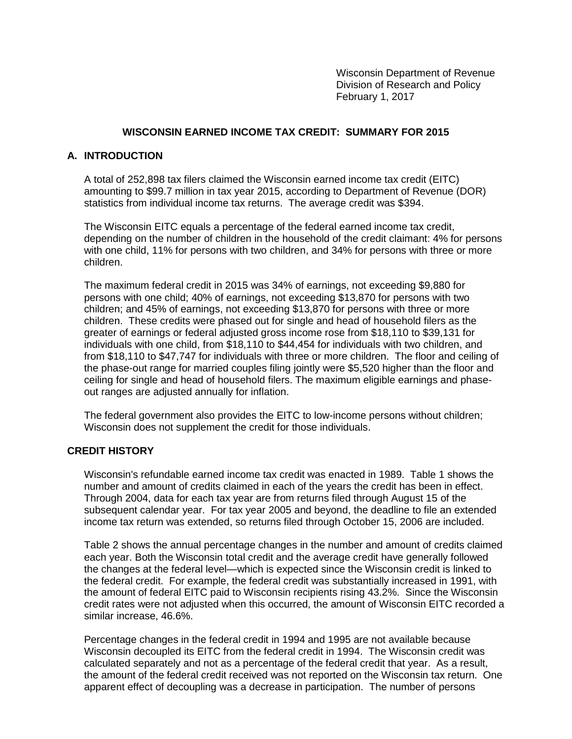Wisconsin Department of Revenue Division of Research and Policy February 1, 2017

## **WISCONSIN EARNED INCOME TAX CREDIT: SUMMARY FOR 2015**

### **A. INTRODUCTION**

A total of 252,898 tax filers claimed the Wisconsin earned income tax credit (EITC) amounting to \$99.7 million in tax year 2015, according to Department of Revenue (DOR) statistics from individual income tax returns. The average credit was \$394.

The Wisconsin EITC equals a percentage of the federal earned income tax credit, depending on the number of children in the household of the credit claimant: 4% for persons with one child, 11% for persons with two children, and 34% for persons with three or more children.

The maximum federal credit in 2015 was 34% of earnings, not exceeding \$9,880 for persons with one child; 40% of earnings, not exceeding \$13,870 for persons with two children; and 45% of earnings, not exceeding \$13,870 for persons with three or more children. These credits were phased out for single and head of household filers as the greater of earnings or federal adjusted gross income rose from \$18,110 to \$39,131 for individuals with one child, from \$18,110 to \$44,454 for individuals with two children, and from \$18,110 to \$47,747 for individuals with three or more children. The floor and ceiling of the phase-out range for married couples filing jointly were \$5,520 higher than the floor and ceiling for single and head of household filers. The maximum eligible earnings and phaseout ranges are adjusted annually for inflation.

The federal government also provides the EITC to low-income persons without children; Wisconsin does not supplement the credit for those individuals.

### **CREDIT HISTORY**

Wisconsin's refundable earned income tax credit was enacted in 1989. Table 1 shows the number and amount of credits claimed in each of the years the credit has been in effect. Through 2004, data for each tax year are from returns filed through August 15 of the subsequent calendar year. For tax year 2005 and beyond, the deadline to file an extended income tax return was extended, so returns filed through October 15, 2006 are included.

Table 2 shows the annual percentage changes in the number and amount of credits claimed each year. Both the Wisconsin total credit and the average credit have generally followed the changes at the federal level—which is expected since the Wisconsin credit is linked to the federal credit. For example, the federal credit was substantially increased in 1991, with the amount of federal EITC paid to Wisconsin recipients rising 43.2%. Since the Wisconsin credit rates were not adjusted when this occurred, the amount of Wisconsin EITC recorded a similar increase, 46.6%.

Percentage changes in the federal credit in 1994 and 1995 are not available because Wisconsin decoupled its EITC from the federal credit in 1994. The Wisconsin credit was calculated separately and not as a percentage of the federal credit that year. As a result, the amount of the federal credit received was not reported on the Wisconsin tax return. One apparent effect of decoupling was a decrease in participation. The number of persons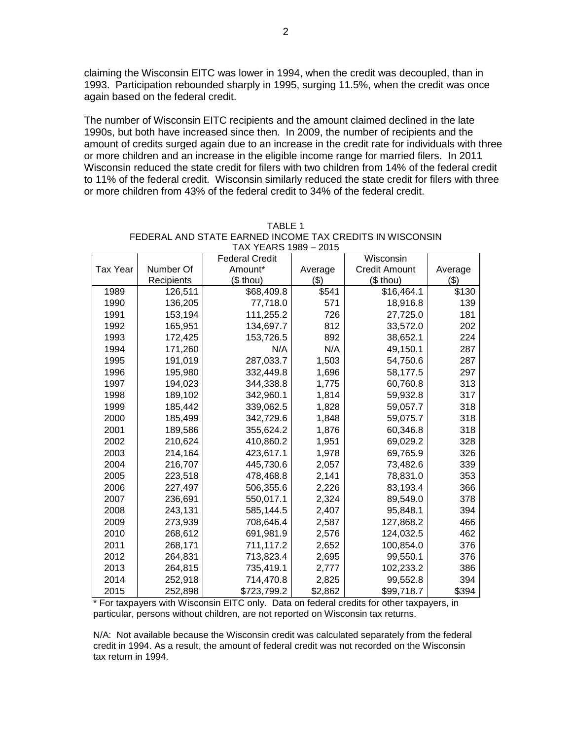claiming the Wisconsin EITC was lower in 1994, when the credit was decoupled, than in 1993. Participation rebounded sharply in 1995, surging 11.5%, when the credit was once again based on the federal credit.

The number of Wisconsin EITC recipients and the amount claimed declined in the late 1990s, but both have increased since then. In 2009, the number of recipients and the amount of credits surged again due to an increase in the credit rate for individuals with three or more children and an increase in the eligible income range for married filers. In 2011 Wisconsin reduced the state credit for filers with two children from 14% of the federal credit to 11% of the federal credit. Wisconsin similarly reduced the state credit for filers with three or more children from 43% of the federal credit to 34% of the federal credit.

|                 |            | טטטו שווחם וואחו<br><b>Federal Credit</b> |         | Wisconsin            |         |
|-----------------|------------|-------------------------------------------|---------|----------------------|---------|
| <b>Tax Year</b> | Number Of  | Amount*                                   | Average | <b>Credit Amount</b> | Average |
|                 | Recipients | (\$ thou)                                 | ( \$)   | (\$ thou)            | $(\$)$  |
| 1989            | 126,511    | \$68,409.8                                | \$541   | \$16,464.1           | \$130   |
| 1990            | 136,205    | 77,718.0                                  | 571     | 18,916.8             | 139     |
| 1991            | 153,194    | 111,255.2                                 | 726     | 27,725.0             | 181     |
| 1992            | 165,951    | 134,697.7                                 | 812     | 33,572.0             | 202     |
| 1993            | 172,425    | 153,726.5                                 | 892     | 38,652.1             | 224     |
| 1994            | 171,260    | N/A                                       | N/A     | 49,150.1             | 287     |
| 1995            | 191,019    | 287,033.7                                 | 1,503   | 54,750.6             | 287     |
| 1996            | 195,980    | 332,449.8                                 | 1,696   | 58,177.5             | 297     |
| 1997            | 194,023    | 344,338.8                                 | 1,775   | 60,760.8             | 313     |
| 1998            | 189,102    | 342,960.1                                 | 1,814   | 59,932.8             | 317     |
| 1999            | 185,442    | 339,062.5                                 | 1,828   | 59,057.7             | 318     |
| 2000            | 185,499    | 342,729.6                                 | 1,848   | 59,075.7             | 318     |
| 2001            | 189,586    | 355,624.2                                 | 1,876   | 60,346.8             | 318     |
| 2002            | 210,624    | 410,860.2                                 | 1,951   | 69,029.2             | 328     |
| 2003            | 214,164    | 423,617.1                                 | 1,978   | 69,765.9             | 326     |
| 2004            | 216,707    | 445,730.6                                 | 2,057   | 73,482.6             | 339     |
| 2005            | 223,518    | 478,468.8                                 | 2,141   | 78,831.0             | 353     |
| 2006            | 227,497    | 506,355.6                                 | 2,226   | 83,193.4             | 366     |
| 2007            | 236,691    | 550,017.1                                 | 2,324   | 89,549.0             | 378     |
| 2008            | 243,131    | 585,144.5                                 | 2,407   | 95,848.1             | 394     |
| 2009            | 273,939    | 708,646.4                                 | 2,587   | 127,868.2            | 466     |
| 2010            | 268,612    | 691,981.9                                 | 2,576   | 124,032.5            | 462     |
| 2011            | 268,171    | 711,117.2                                 | 2,652   | 100,854.0            | 376     |
| 2012            | 264,831    | 713,823.4                                 | 2,695   | 99,550.1             | 376     |
| 2013            | 264,815    | 735,419.1                                 | 2,777   | 102,233.2            | 386     |
| 2014            | 252,918    | 714,470.8                                 | 2,825   | 99,552.8             | 394     |
| 2015            | 252,898    | \$723,799.2                               | \$2,862 | \$99,718.7           | \$394   |

| TABLE 1                                                  |
|----------------------------------------------------------|
| FEDERAL AND STATE EARNED INCOME TAX CREDITS IN WISCONSIN |
| TAX YEARS 1989 - 2015                                    |

\* For taxpayers with Wisconsin EITC only. Data on federal credits for other taxpayers, in particular, persons without children, are not reported on Wisconsin tax returns.

N/A: Not available because the Wisconsin credit was calculated separately from the federal credit in 1994. As a result, the amount of federal credit was not recorded on the Wisconsin tax return in 1994.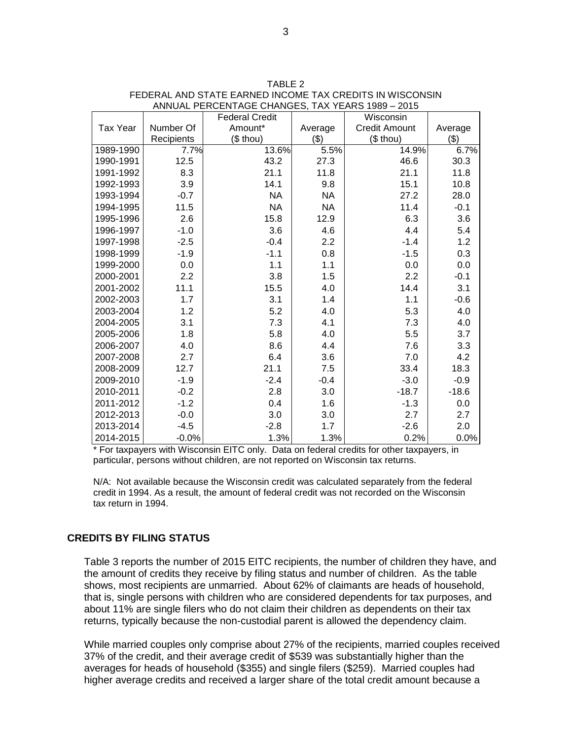|                 |            | <b>Federal Credit</b> |           | Wisconsin            |         |
|-----------------|------------|-----------------------|-----------|----------------------|---------|
| <b>Tax Year</b> | Number Of  | Amount*               | Average   | <b>Credit Amount</b> | Average |
|                 | Recipients | (\$ thou)             | (3)       | (\$ thou)            | \$)     |
| 1989-1990       | 7.7%       | 13.6%                 | 5.5%      | 14.9%                | 6.7%    |
| 1990-1991       | 12.5       | 43.2                  | 27.3      | 46.6                 | 30.3    |
| 1991-1992       | 8.3        | 21.1                  | 11.8      | 21.1                 | 11.8    |
| 1992-1993       | 3.9        | 14.1                  | 9.8       | 15.1                 | 10.8    |
| 1993-1994       | $-0.7$     | <b>NA</b>             | <b>NA</b> | 27.2                 | 28.0    |
| 1994-1995       | 11.5       | <b>NA</b>             | <b>NA</b> | 11.4                 | $-0.1$  |
| 1995-1996       | 2.6        | 15.8                  | 12.9      | 6.3                  | 3.6     |
| 1996-1997       | $-1.0$     | 3.6                   | 4.6       | 4.4                  | 5.4     |
| 1997-1998       | $-2.5$     | $-0.4$                | 2.2       | $-1.4$               | 1.2     |
| 1998-1999       | $-1.9$     | $-1.1$                | 0.8       | $-1.5$               | 0.3     |
| 1999-2000       | 0.0        | 1.1                   | 1.1       | 0.0                  | 0.0     |
| 2000-2001       | 2.2        | 3.8                   | 1.5       | 2.2                  | $-0.1$  |
| 2001-2002       | 11.1       | 15.5                  | 4.0       | 14.4                 | 3.1     |
| 2002-2003       | 1.7        | 3.1                   | 1.4       | 1.1                  | $-0.6$  |
| 2003-2004       | 1.2        | 5.2                   | 4.0       | 5.3                  | 4.0     |
| 2004-2005       | 3.1        | 7.3                   | 4.1       | 7.3                  | 4.0     |
| 2005-2006       | 1.8        | 5.8                   | 4.0       | 5.5                  | 3.7     |
| 2006-2007       | 4.0        | 8.6                   | 4.4       | 7.6                  | 3.3     |
| 2007-2008       | 2.7        | 6.4                   | 3.6       | 7.0                  | 4.2     |
| 2008-2009       | 12.7       | 21.1                  | 7.5       | 33.4                 | 18.3    |
| 2009-2010       | $-1.9$     | $-2.4$                | $-0.4$    | $-3.0$               | $-0.9$  |
| 2010-2011       | $-0.2$     | 2.8                   | 3.0       | $-18.7$              | $-18.6$ |
| 2011-2012       | $-1.2$     | 0.4                   | 1.6       | $-1.3$               | 0.0     |
| 2012-2013       | $-0.0$     | 3.0                   | 3.0       | 2.7                  | 2.7     |
| 2013-2014       | $-4.5$     | $-2.8$                | 1.7       | $-2.6$               | 2.0     |
| 2014-2015       | $-0.0%$    | 1.3%                  | 1.3%      | 0.2%                 | 0.0%    |

| TABLE 2                                                  |
|----------------------------------------------------------|
| FEDERAL AND STATE EARNED INCOME TAX CREDITS IN WISCONSIN |
| ANNUAL PERCENTAGE CHANGES, TAX YEARS 1989 - 2015         |

\* For taxpayers with Wisconsin EITC only. Data on federal credits for other taxpayers, in particular, persons without children, are not reported on Wisconsin tax returns.

N/A: Not available because the Wisconsin credit was calculated separately from the federal credit in 1994. As a result, the amount of federal credit was not recorded on the Wisconsin tax return in 1994.

### **CREDITS BY FILING STATUS**

Table 3 reports the number of 2015 EITC recipients, the number of children they have, and the amount of credits they receive by filing status and number of children. As the table shows, most recipients are unmarried. About 62% of claimants are heads of household, that is, single persons with children who are considered dependents for tax purposes, and about 11% are single filers who do not claim their children as dependents on their tax returns, typically because the non-custodial parent is allowed the dependency claim.

While married couples only comprise about 27% of the recipients, married couples received 37% of the credit, and their average credit of \$539 was substantially higher than the averages for heads of household (\$355) and single filers (\$259). Married couples had higher average credits and received a larger share of the total credit amount because a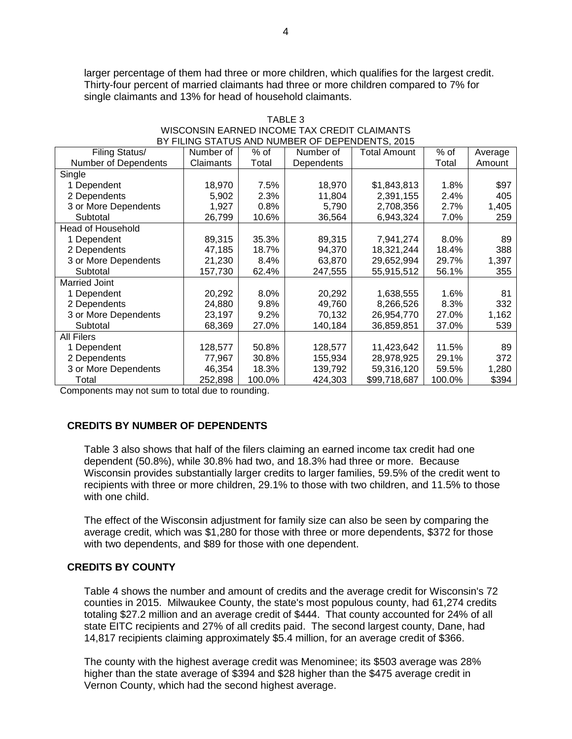larger percentage of them had three or more children, which qualifies for the largest credit. Thirty-four percent of married claimants had three or more children compared to 7% for single claimants and 13% for head of household claimants.

| BY FILING STATUS AND NUMBER OF DEPENDENTS, 2015 |           |        |            |                     |        |         |  |  |
|-------------------------------------------------|-----------|--------|------------|---------------------|--------|---------|--|--|
| Filing Status/                                  | Number of | % of   | Number of  | <b>Total Amount</b> | $%$ of | Average |  |  |
| Number of Dependents                            | Claimants | Total  | Dependents |                     | Total  | Amount  |  |  |
| Single                                          |           |        |            |                     |        |         |  |  |
| 1 Dependent                                     | 18,970    | 7.5%   | 18,970     | \$1,843,813         | 1.8%   | \$97    |  |  |
| 2 Dependents                                    | 5,902     | 2.3%   | 11,804     | 2,391,155           | 2.4%   | 405     |  |  |
| 3 or More Dependents                            | 1,927     | 0.8%   | 5,790      | 2,708,356           | 2.7%   | 1,405   |  |  |
| Subtotal                                        | 26,799    | 10.6%  | 36,564     | 6,943,324           | 7.0%   | 259     |  |  |
| Head of Household                               |           |        |            |                     |        |         |  |  |
| 1 Dependent                                     | 89,315    | 35.3%  | 89,315     | 7,941,274           | 8.0%   | 89      |  |  |
| 2 Dependents                                    | 47,185    | 18.7%  | 94,370     | 18,321,244          | 18.4%  | 388     |  |  |
| 3 or More Dependents                            | 21,230    | 8.4%   | 63,870     | 29,652,994          | 29.7%  | 1,397   |  |  |
| Subtotal                                        | 157,730   | 62.4%  | 247,555    | 55,915,512          | 56.1%  | 355     |  |  |
| <b>Married Joint</b>                            |           |        |            |                     |        |         |  |  |
| 1 Dependent                                     | 20,292    | 8.0%   | 20,292     | 1,638,555           | 1.6%   | 81      |  |  |
| 2 Dependents                                    | 24,880    | 9.8%   | 49,760     | 8,266,526           | 8.3%   | 332     |  |  |
| 3 or More Dependents                            | 23,197    | 9.2%   | 70,132     | 26,954,770          | 27.0%  | 1,162   |  |  |
| Subtotal                                        | 68,369    | 27.0%  | 140,184    | 36,859,851          | 37.0%  | 539     |  |  |
| All Filers                                      |           |        |            |                     |        |         |  |  |
| 1 Dependent                                     | 128,577   | 50.8%  | 128,577    | 11,423,642          | 11.5%  | 89      |  |  |
| 2 Dependents                                    | 77,967    | 30.8%  | 155,934    | 28,978,925          | 29.1%  | 372     |  |  |
| 3 or More Dependents                            | 46,354    | 18.3%  | 139,792    | 59,316,120          | 59.5%  | 1,280   |  |  |
| Total                                           | 252,898   | 100.0% | 424,303    | \$99,718,687        | 100.0% | \$394   |  |  |

#### TABLE 3 WISCONSIN EARNED INCOME TAX CREDIT CLAIMANTS BY FILING STATUS AND NUMBER OF DEPENDENTS, 2015

Components may not sum to total due to rounding.

# **CREDITS BY NUMBER OF DEPENDENTS**

Table 3 also shows that half of the filers claiming an earned income tax credit had one dependent (50.8%), while 30.8% had two, and 18.3% had three or more. Because Wisconsin provides substantially larger credits to larger families, 59.5% of the credit went to recipients with three or more children, 29.1% to those with two children, and 11.5% to those with one child.

The effect of the Wisconsin adjustment for family size can also be seen by comparing the average credit, which was \$1,280 for those with three or more dependents, \$372 for those with two dependents, and \$89 for those with one dependent.

## **CREDITS BY COUNTY**

Table 4 shows the number and amount of credits and the average credit for Wisconsin's 72 counties in 2015. Milwaukee County, the state's most populous county, had 61,274 credits totaling \$27.2 million and an average credit of \$444. That county accounted for 24% of all state EITC recipients and 27% of all credits paid. The second largest county, Dane, had 14,817 recipients claiming approximately \$5.4 million, for an average credit of \$366.

The county with the highest average credit was Menominee; its \$503 average was 28% higher than the state average of \$394 and \$28 higher than the \$475 average credit in Vernon County, which had the second highest average.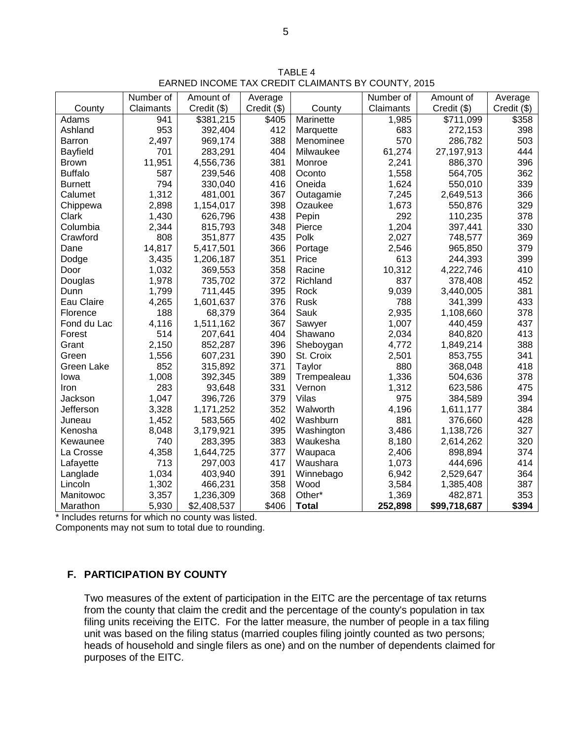|                 | Number of | Amount of   | Average     |              | Number of | Amount of    | Average     |
|-----------------|-----------|-------------|-------------|--------------|-----------|--------------|-------------|
| County          | Claimants | Credit (\$) | Credit (\$) | County       | Claimants | Credit (\$)  | Credit (\$) |
| Adams           | 941       | \$381,215   | \$405       | Marinette    | 1,985     | \$711,099    | \$358       |
| Ashland         | 953       | 392,404     | 412         | Marquette    | 683       | 272,153      | 398         |
| Barron          | 2,497     | 969,174     | 388         | Menominee    | 570       | 286,782      | 503         |
| <b>Bayfield</b> | 701       | 283,291     | 404         | Milwaukee    | 61,274    | 27,197,913   | 444         |
| <b>Brown</b>    | 11,951    | 4,556,736   | 381         | Monroe       | 2,241     | 886,370      | 396         |
| <b>Buffalo</b>  | 587       | 239,546     | 408         | Oconto       | 1,558     | 564,705      | 362         |
| <b>Burnett</b>  | 794       | 330,040     | 416         | Oneida       | 1,624     | 550,010      | 339         |
| Calumet         | 1,312     | 481,001     | 367         | Outagamie    | 7,245     | 2,649,513    | 366         |
| Chippewa        | 2,898     | 1,154,017   | 398         | Ozaukee      | 1,673     | 550,876      | 329         |
| Clark           | 1,430     | 626,796     | 438         | Pepin        | 292       | 110,235      | 378         |
| Columbia        | 2,344     | 815,793     | 348         | Pierce       | 1,204     | 397,441      | 330         |
| Crawford        | 808       | 351,877     | 435         | Polk         | 2,027     | 748,577      | 369         |
| Dane            | 14,817    | 5,417,501   | 366         | Portage      | 2,546     | 965,850      | 379         |
| Dodge           | 3,435     | 1,206,187   | 351         | Price        | 613       | 244,393      | 399         |
| Door            | 1,032     | 369,553     | 358         | Racine       | 10,312    | 4,222,746    | 410         |
| Douglas         | 1,978     | 735,702     | 372         | Richland     | 837       | 378,408      | 452         |
| Dunn            | 1,799     | 711,445     | 395         | Rock         | 9,039     | 3,440,005    | 381         |
| Eau Claire      | 4,265     | 1,601,637   | 376         | Rusk         | 788       | 341,399      | 433         |
| Florence        | 188       | 68,379      | 364         | Sauk         | 2,935     | 1,108,660    | 378         |
| Fond du Lac     | 4,116     | 1,511,162   | 367         | Sawyer       | 1,007     | 440,459      | 437         |
| Forest          | 514       | 207,641     | 404         | Shawano      | 2,034     | 840,820      | 413         |
| Grant           | 2,150     | 852,287     | 396         | Sheboygan    | 4,772     | 1,849,214    | 388         |
| Green           | 1,556     | 607,231     | 390         | St. Croix    | 2,501     | 853,755      | 341         |
| Green Lake      | 852       | 315,892     | 371         | Taylor       | 880       | 368,048      | 418         |
| lowa            | 1,008     | 392,345     | 389         | Trempealeau  | 1,336     | 504,636      | 378         |
| Iron            | 283       | 93,648      | 331         | Vernon       | 1,312     | 623,586      | 475         |
| Jackson         | 1,047     | 396,726     | 379         | Vilas        | 975       | 384,589      | 394         |
| Jefferson       | 3,328     | 1,171,252   | 352         | Walworth     | 4,196     | 1,611,177    | 384         |
| Juneau          | 1,452     | 583,565     | 402         | Washburn     | 881       | 376,660      | 428         |
| Kenosha         | 8,048     | 3,179,921   | 395         | Washington   | 3,486     | 1,138,726    | 327         |
| Kewaunee        | 740       | 283,395     | 383         | Waukesha     | 8,180     | 2,614,262    | 320         |
| La Crosse       | 4,358     | 1,644,725   | 377         | Waupaca      | 2,406     | 898,894      | 374         |
| Lafayette       | 713       | 297,003     | 417         | Waushara     | 1,073     | 444,696      | 414         |
| Langlade        | 1,034     | 403,940     | 391         | Winnebago    | 6,942     | 2,529,647    | 364         |
| Lincoln         | 1,302     | 466,231     | 358         | Wood         | 3,584     | 1,385,408    | 387         |
| Manitowoc       | 3,357     | 1,236,309   | 368         | Other*       | 1,369     | 482,871      | 353         |
| Marathon        | 5,930     | \$2,408,537 | \$406       | <b>Total</b> | 252,898   | \$99,718,687 | \$394       |

TABLE 4 EARNED INCOME TAX CREDIT CLAIMANTS BY COUNTY, 2015

\* Includes returns for which no county was listed.

Components may not sum to total due to rounding.

## **F. PARTICIPATION BY COUNTY**

Two measures of the extent of participation in the EITC are the percentage of tax returns from the county that claim the credit and the percentage of the county's population in tax filing units receiving the EITC. For the latter measure, the number of people in a tax filing unit was based on the filing status (married couples filing jointly counted as two persons; heads of household and single filers as one) and on the number of dependents claimed for purposes of the EITC.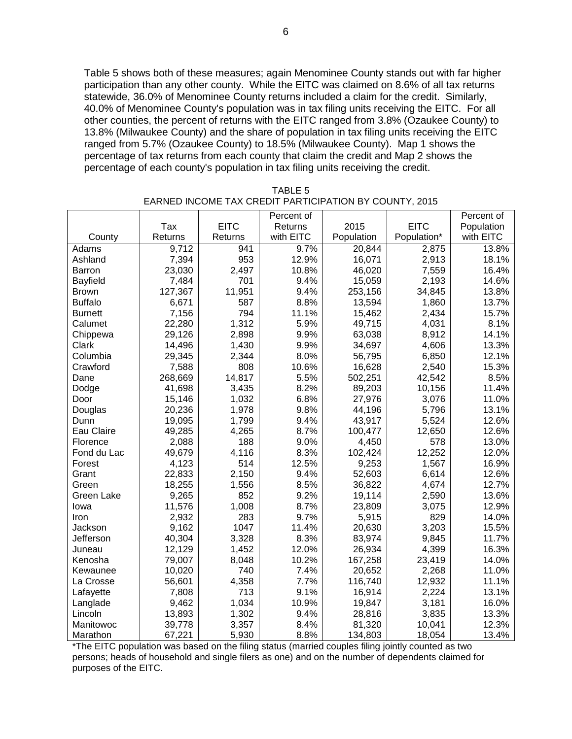Table 5 shows both of these measures; again Menominee County stands out with far higher participation than any other county. While the EITC was claimed on 8.6% of all tax returns statewide, 36.0% of Menominee County returns included a claim for the credit. Similarly, 40.0% of Menominee County's population was in tax filing units receiving the EITC. For all other counties, the percent of returns with the EITC ranged from 3.8% (Ozaukee County) to 13.8% (Milwaukee County) and the share of population in tax filing units receiving the EITC ranged from 5.7% (Ozaukee County) to 18.5% (Milwaukee County). Map 1 shows the percentage of tax returns from each county that claim the credit and Map 2 shows the percentage of each county's population in tax filing units receiving the credit.

|                |         |             | Percent of |            |             | Percent of |
|----------------|---------|-------------|------------|------------|-------------|------------|
|                | Tax     | <b>EITC</b> | Returns    | 2015       | <b>EITC</b> | Population |
| County         | Returns | Returns     | with EITC  | Population | Population* | with EITC  |
| Adams          | 9,712   | 941         | 9.7%       | 20,844     | 2,875       | 13.8%      |
| Ashland        | 7,394   | 953         | 12.9%      | 16,071     | 2,913       | 18.1%      |
| Barron         | 23,030  | 2,497       | 10.8%      | 46,020     | 7,559       | 16.4%      |
| Bayfield       | 7,484   | 701         | 9.4%       | 15,059     | 2,193       | 14.6%      |
| <b>Brown</b>   | 127,367 | 11,951      | 9.4%       | 253,156    | 34,845      | 13.8%      |
| <b>Buffalo</b> | 6,671   | 587         | 8.8%       | 13,594     | 1,860       | 13.7%      |
| <b>Burnett</b> | 7,156   | 794         | 11.1%      | 15,462     | 2,434       | 15.7%      |
| Calumet        | 22,280  | 1,312       | 5.9%       | 49,715     | 4,031       | 8.1%       |
| Chippewa       | 29,126  | 2,898       | 9.9%       | 63,038     | 8,912       | 14.1%      |
| <b>Clark</b>   | 14,496  | 1,430       | 9.9%       | 34,697     | 4,606       | 13.3%      |
| Columbia       | 29,345  | 2,344       | 8.0%       | 56,795     | 6,850       | 12.1%      |
| Crawford       | 7,588   | 808         | 10.6%      | 16,628     | 2,540       | 15.3%      |
| Dane           | 268,669 | 14,817      | 5.5%       | 502,251    | 42,542      | 8.5%       |
| Dodge          | 41,698  | 3,435       | 8.2%       | 89,203     | 10,156      | 11.4%      |
| Door           | 15,146  | 1,032       | 6.8%       | 27,976     | 3,076       | 11.0%      |
| Douglas        | 20,236  | 1,978       | 9.8%       | 44,196     | 5,796       | 13.1%      |
| Dunn           | 19,095  | 1,799       | 9.4%       | 43,917     | 5,524       | 12.6%      |
| Eau Claire     | 49,285  | 4,265       | 8.7%       | 100,477    | 12,650      | 12.6%      |
| Florence       | 2,088   | 188         | 9.0%       | 4,450      | 578         | 13.0%      |
| Fond du Lac    | 49,679  | 4,116       | 8.3%       | 102,424    | 12,252      | 12.0%      |
| Forest         | 4,123   | 514         | 12.5%      | 9,253      | 1,567       | 16.9%      |
| Grant          | 22,833  | 2,150       | 9.4%       | 52,603     | 6,614       | 12.6%      |
| Green          | 18,255  | 1,556       | 8.5%       | 36,822     | 4,674       | 12.7%      |
| Green Lake     | 9,265   | 852         | 9.2%       | 19,114     | 2,590       | 13.6%      |
| lowa           | 11,576  | 1,008       | 8.7%       | 23,809     | 3,075       | 12.9%      |
| Iron           | 2,932   | 283         | 9.7%       | 5,915      | 829         | 14.0%      |
| Jackson        | 9,162   | 1047        | 11.4%      | 20,630     | 3,203       | 15.5%      |
| Jefferson      | 40,304  | 3,328       | 8.3%       | 83,974     | 9,845       | 11.7%      |
| Juneau         | 12,129  | 1,452       | 12.0%      | 26,934     | 4,399       | 16.3%      |
| Kenosha        | 79,007  | 8,048       | 10.2%      | 167,258    | 23,419      | 14.0%      |
| Kewaunee       | 10,020  | 740         | 7.4%       | 20,652     | 2,268       | 11.0%      |
| La Crosse      | 56,601  | 4,358       | 7.7%       | 116,740    | 12,932      | 11.1%      |
| Lafayette      | 7,808   | 713         | 9.1%       | 16,914     | 2,224       | 13.1%      |
| Langlade       | 9,462   | 1,034       | 10.9%      | 19,847     | 3,181       | 16.0%      |
| Lincoln        | 13,893  | 1,302       | 9.4%       | 28,816     | 3,835       | 13.3%      |
| Manitowoc      | 39,778  | 3,357       | 8.4%       | 81,320     | 10,041      | 12.3%      |
| Marathon       | 67,221  | 5,930       | 8.8%       | 134,803    | 18,054      | 13.4%      |

TABLE 5 EARNED INCOME TAX CREDIT PARTICIPATION BY COUNTY, 2015

\*The EITC population was based on the filing status (married couples filing jointly counted as two persons; heads of household and single filers as one) and on the number of dependents claimed for purposes of the EITC.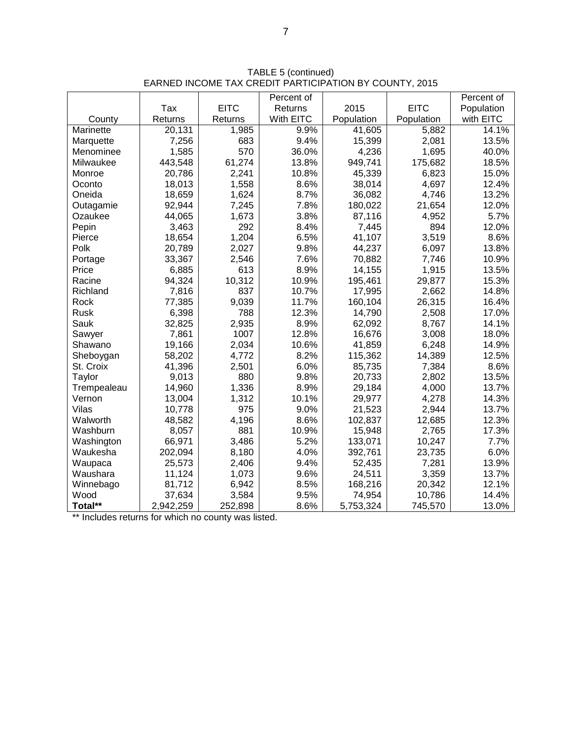|             |           |             | Percent of |            |             | Percent of |
|-------------|-----------|-------------|------------|------------|-------------|------------|
|             | Tax       | <b>EITC</b> | Returns    | 2015       | <b>EITC</b> | Population |
| County      | Returns   | Returns     | With EITC  | Population | Population  | with EITC  |
| Marinette   | 20,131    | 1,985       | 9.9%       | 41,605     | 5,882       | 14.1%      |
| Marquette   | 7,256     | 683         | 9.4%       | 15,399     | 2,081       | 13.5%      |
| Menominee   | 1,585     | 570         | 36.0%      | 4,236      | 1,695       | 40.0%      |
| Milwaukee   | 443,548   | 61,274      | 13.8%      | 949,741    | 175,682     | 18.5%      |
| Monroe      | 20,786    | 2,241       | 10.8%      | 45,339     | 6,823       | 15.0%      |
| Oconto      | 18,013    | 1,558       | 8.6%       | 38,014     | 4,697       | 12.4%      |
| Oneida      | 18,659    | 1,624       | 8.7%       | 36,082     | 4,746       | 13.2%      |
| Outagamie   | 92,944    | 7,245       | 7.8%       | 180,022    | 21,654      | 12.0%      |
| Ozaukee     | 44,065    | 1,673       | 3.8%       | 87,116     | 4,952       | 5.7%       |
| Pepin       | 3,463     | 292         | 8.4%       | 7,445      | 894         | 12.0%      |
| Pierce      | 18,654    | 1,204       | 6.5%       | 41,107     | 3,519       | 8.6%       |
| Polk        | 20,789    | 2,027       | 9.8%       | 44,237     | 6,097       | 13.8%      |
| Portage     | 33,367    | 2,546       | 7.6%       | 70,882     | 7,746       | 10.9%      |
| Price       | 6,885     | 613         | 8.9%       | 14,155     | 1,915       | 13.5%      |
| Racine      | 94,324    | 10,312      | 10.9%      | 195,461    | 29,877      | 15.3%      |
| Richland    | 7,816     | 837         | 10.7%      | 17,995     | 2,662       | 14.8%      |
| Rock        | 77,385    | 9,039       | 11.7%      | 160,104    | 26,315      | 16.4%      |
| Rusk        | 6,398     | 788         | 12.3%      | 14,790     | 2,508       | 17.0%      |
| Sauk        | 32,825    | 2,935       | 8.9%       | 62,092     | 8,767       | 14.1%      |
| Sawyer      | 7,861     | 1007        | 12.8%      | 16,676     | 3,008       | 18.0%      |
| Shawano     | 19,166    | 2,034       | 10.6%      | 41,859     | 6,248       | 14.9%      |
| Sheboygan   | 58,202    | 4,772       | 8.2%       | 115,362    | 14,389      | 12.5%      |
| St. Croix   | 41,396    | 2,501       | 6.0%       | 85,735     | 7,384       | 8.6%       |
| Taylor      | 9,013     | 880         | 9.8%       | 20,733     | 2,802       | 13.5%      |
| Trempealeau | 14,960    | 1,336       | 8.9%       | 29,184     | 4,000       | 13.7%      |
| Vernon      | 13,004    | 1,312       | 10.1%      | 29,977     | 4,278       | 14.3%      |
| Vilas       | 10,778    | 975         | 9.0%       | 21,523     | 2,944       | 13.7%      |
| Walworth    | 48,582    | 4,196       | 8.6%       | 102,837    | 12,685      | 12.3%      |
| Washburn    | 8,057     | 881         | 10.9%      | 15,948     | 2,765       | 17.3%      |
| Washington  | 66,971    | 3,486       | 5.2%       | 133,071    | 10,247      | 7.7%       |
| Waukesha    | 202,094   | 8,180       | 4.0%       | 392,761    | 23,735      | 6.0%       |
| Waupaca     | 25,573    | 2,406       | 9.4%       | 52,435     | 7,281       | 13.9%      |
| Waushara    | 11,124    | 1,073       | 9.6%       | 24,511     | 3,359       | 13.7%      |
| Winnebago   | 81,712    | 6,942       | 8.5%       | 168,216    | 20,342      | 12.1%      |
| Wood        | 37,634    | 3,584       | 9.5%       | 74,954     | 10,786      | 14.4%      |
| Total**     | 2,942,259 | 252,898     | 8.6%       | 5,753,324  | 745,570     | 13.0%      |

TABLE 5 (continued) EARNED INCOME TAX CREDIT PARTICIPATION BY COUNTY, 2015

\*\* Includes returns for which no county was listed.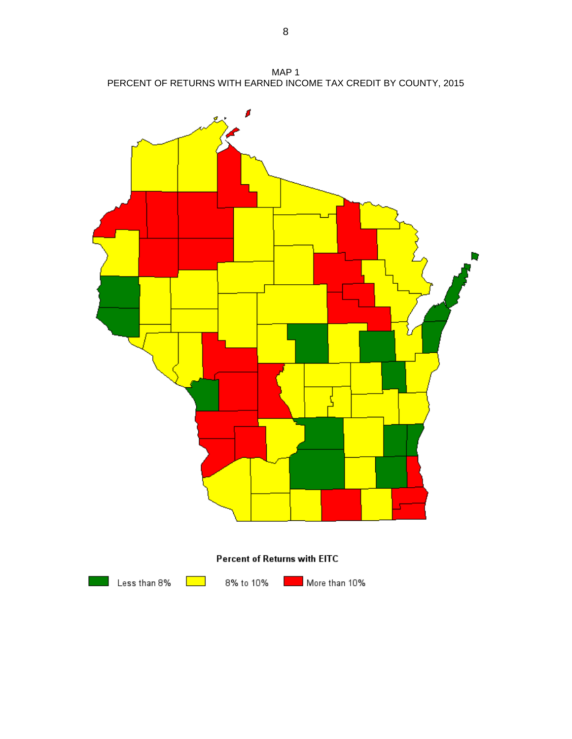MAP 1 PERCENT OF RETURNS WITH EARNED INCOME TAX CREDIT BY COUNTY, 2015